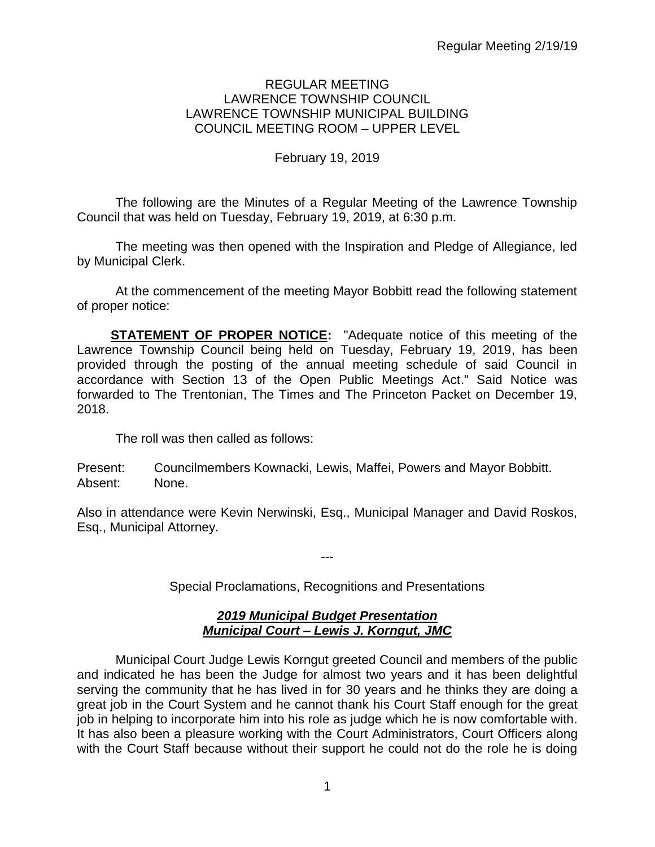## REGULAR MEETING LAWRENCE TOWNSHIP COUNCIL LAWRENCE TOWNSHIP MUNICIPAL BUILDING COUNCIL MEETING ROOM – UPPER LEVEL

# February 19, 2019

The following are the Minutes of a Regular Meeting of the Lawrence Township Council that was held on Tuesday, February 19, 2019, at 6:30 p.m.

The meeting was then opened with the Inspiration and Pledge of Allegiance, led by Municipal Clerk.

At the commencement of the meeting Mayor Bobbitt read the following statement of proper notice:

**STATEMENT OF PROPER NOTICE:** "Adequate notice of this meeting of the Lawrence Township Council being held on Tuesday, February 19, 2019, has been provided through the posting of the annual meeting schedule of said Council in accordance with Section 13 of the Open Public Meetings Act." Said Notice was forwarded to The Trentonian, The Times and The Princeton Packet on December 19, 2018.

The roll was then called as follows:

Present: Councilmembers Kownacki, Lewis, Maffei, Powers and Mayor Bobbitt. Absent: None.

Also in attendance were Kevin Nerwinski, Esq., Municipal Manager and David Roskos, Esq., Municipal Attorney.

Special Proclamations, Recognitions and Presentations

---

# *2019 Municipal Budget Presentation Municipal Court – Lewis J. Korngut, JMC*

Municipal Court Judge Lewis Korngut greeted Council and members of the public and indicated he has been the Judge for almost two years and it has been delightful serving the community that he has lived in for 30 years and he thinks they are doing a great job in the Court System and he cannot thank his Court Staff enough for the great job in helping to incorporate him into his role as judge which he is now comfortable with. It has also been a pleasure working with the Court Administrators, Court Officers along with the Court Staff because without their support he could not do the role he is doing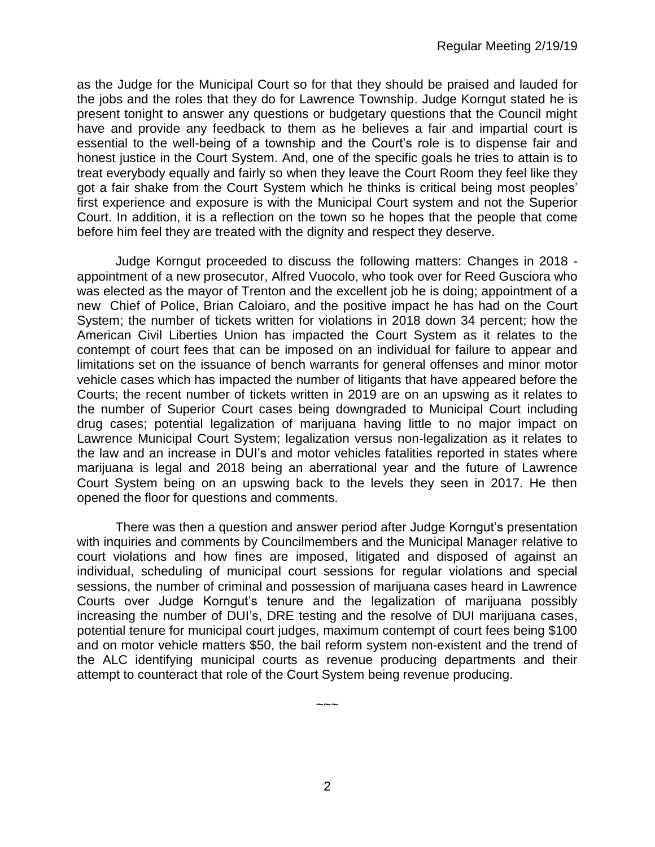as the Judge for the Municipal Court so for that they should be praised and lauded for the jobs and the roles that they do for Lawrence Township. Judge Korngut stated he is present tonight to answer any questions or budgetary questions that the Council might have and provide any feedback to them as he believes a fair and impartial court is essential to the well-being of a township and the Court's role is to dispense fair and honest justice in the Court System. And, one of the specific goals he tries to attain is to treat everybody equally and fairly so when they leave the Court Room they feel like they got a fair shake from the Court System which he thinks is critical being most peoples' first experience and exposure is with the Municipal Court system and not the Superior Court. In addition, it is a reflection on the town so he hopes that the people that come before him feel they are treated with the dignity and respect they deserve.

Judge Korngut proceeded to discuss the following matters: Changes in 2018 appointment of a new prosecutor, Alfred Vuocolo, who took over for Reed Gusciora who was elected as the mayor of Trenton and the excellent job he is doing; appointment of a new Chief of Police, Brian Caloiaro, and the positive impact he has had on the Court System; the number of tickets written for violations in 2018 down 34 percent; how the American Civil Liberties Union has impacted the Court System as it relates to the contempt of court fees that can be imposed on an individual for failure to appear and limitations set on the issuance of bench warrants for general offenses and minor motor vehicle cases which has impacted the number of litigants that have appeared before the Courts; the recent number of tickets written in 2019 are on an upswing as it relates to the number of Superior Court cases being downgraded to Municipal Court including drug cases; potential legalization of marijuana having little to no major impact on Lawrence Municipal Court System; legalization versus non-legalization as it relates to the law and an increase in DUI's and motor vehicles fatalities reported in states where marijuana is legal and 2018 being an aberrational year and the future of Lawrence Court System being on an upswing back to the levels they seen in 2017. He then opened the floor for questions and comments.

There was then a question and answer period after Judge Korngut's presentation with inquiries and comments by Councilmembers and the Municipal Manager relative to court violations and how fines are imposed, litigated and disposed of against an individual, scheduling of municipal court sessions for regular violations and special sessions, the number of criminal and possession of marijuana cases heard in Lawrence Courts over Judge Korngut's tenure and the legalization of marijuana possibly increasing the number of DUI's, DRE testing and the resolve of DUI marijuana cases, potential tenure for municipal court judges, maximum contempt of court fees being \$100 and on motor vehicle matters \$50, the bail reform system non-existent and the trend of the ALC identifying municipal courts as revenue producing departments and their attempt to counteract that role of the Court System being revenue producing.

 $\sim\sim\sim$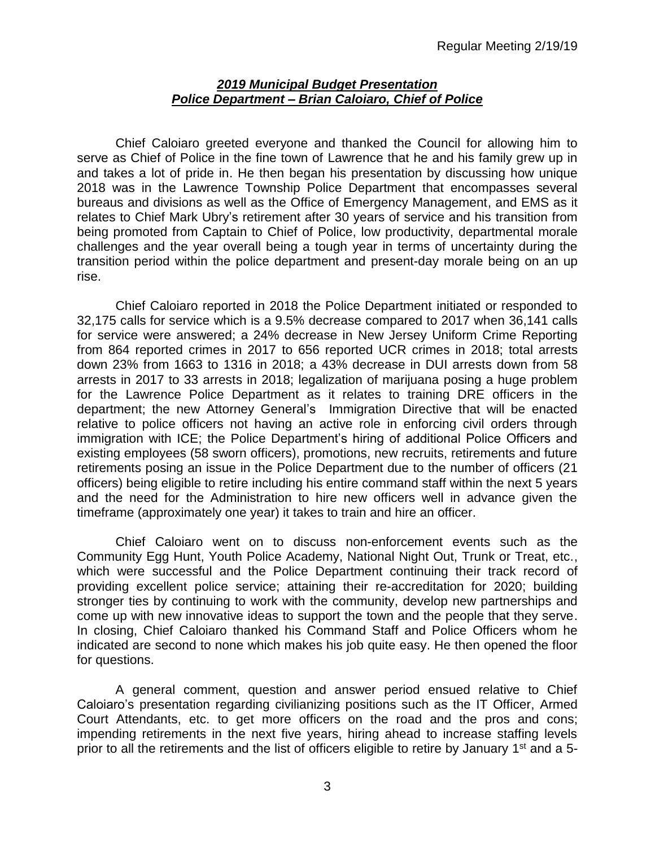#### *2019 Municipal Budget Presentation Police Department – Brian Caloiaro, Chief of Police*

Chief Caloiaro greeted everyone and thanked the Council for allowing him to serve as Chief of Police in the fine town of Lawrence that he and his family grew up in and takes a lot of pride in. He then began his presentation by discussing how unique 2018 was in the Lawrence Township Police Department that encompasses several bureaus and divisions as well as the Office of Emergency Management, and EMS as it relates to Chief Mark Ubry's retirement after 30 years of service and his transition from being promoted from Captain to Chief of Police, low productivity, departmental morale challenges and the year overall being a tough year in terms of uncertainty during the transition period within the police department and present-day morale being on an up rise.

Chief Caloiaro reported in 2018 the Police Department initiated or responded to 32,175 calls for service which is a 9.5% decrease compared to 2017 when 36,141 calls for service were answered; a 24% decrease in New Jersey Uniform Crime Reporting from 864 reported crimes in 2017 to 656 reported UCR crimes in 2018; total arrests down 23% from 1663 to 1316 in 2018; a 43% decrease in DUI arrests down from 58 arrests in 2017 to 33 arrests in 2018; legalization of marijuana posing a huge problem for the Lawrence Police Department as it relates to training DRE officers in the department; the new Attorney General's Immigration Directive that will be enacted relative to police officers not having an active role in enforcing civil orders through immigration with ICE; the Police Department's hiring of additional Police Officers and existing employees (58 sworn officers), promotions, new recruits, retirements and future retirements posing an issue in the Police Department due to the number of officers (21 officers) being eligible to retire including his entire command staff within the next 5 years and the need for the Administration to hire new officers well in advance given the timeframe (approximately one year) it takes to train and hire an officer.

Chief Caloiaro went on to discuss non-enforcement events such as the Community Egg Hunt, Youth Police Academy, National Night Out, Trunk or Treat, etc., which were successful and the Police Department continuing their track record of providing excellent police service; attaining their re-accreditation for 2020; building stronger ties by continuing to work with the community, develop new partnerships and come up with new innovative ideas to support the town and the people that they serve. In closing, Chief Caloiaro thanked his Command Staff and Police Officers whom he indicated are second to none which makes his job quite easy. He then opened the floor for questions.

A general comment, question and answer period ensued relative to Chief Caloiaro's presentation regarding civilianizing positions such as the IT Officer, Armed Court Attendants, etc. to get more officers on the road and the pros and cons; impending retirements in the next five years, hiring ahead to increase staffing levels prior to all the retirements and the list of officers eligible to retire by January 1<sup>st</sup> and a 5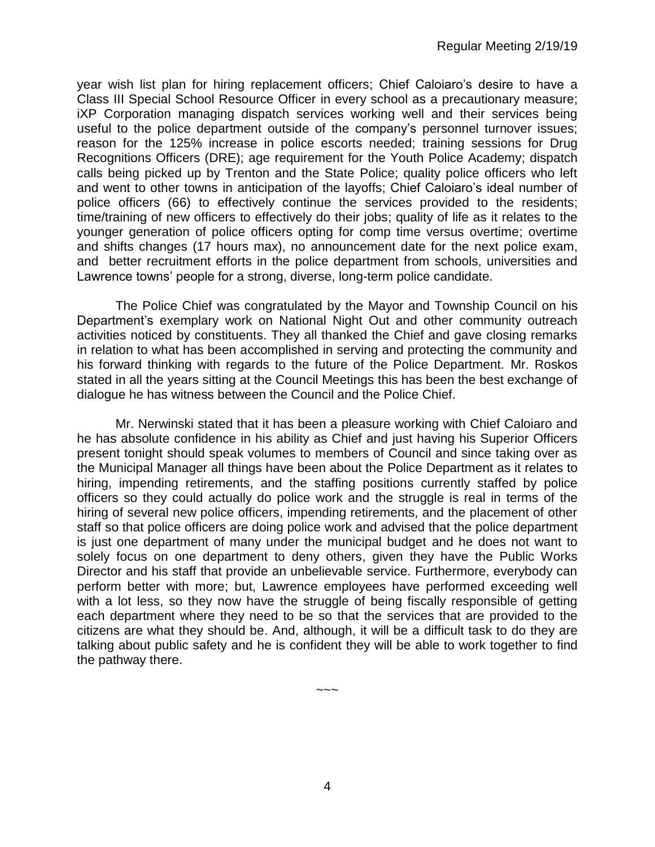year wish list plan for hiring replacement officers; Chief Caloiaro's desire to have a Class III Special School Resource Officer in every school as a precautionary measure; iXP Corporation managing dispatch services working well and their services being useful to the police department outside of the company's personnel turnover issues; reason for the 125% increase in police escorts needed; training sessions for Drug Recognitions Officers (DRE); age requirement for the Youth Police Academy; dispatch calls being picked up by Trenton and the State Police; quality police officers who left and went to other towns in anticipation of the layoffs; Chief Caloiaro's ideal number of police officers (66) to effectively continue the services provided to the residents; time/training of new officers to effectively do their jobs; quality of life as it relates to the younger generation of police officers opting for comp time versus overtime; overtime and shifts changes (17 hours max), no announcement date for the next police exam, and better recruitment efforts in the police department from schools, universities and Lawrence towns' people for a strong, diverse, long-term police candidate.

The Police Chief was congratulated by the Mayor and Township Council on his Department's exemplary work on National Night Out and other community outreach activities noticed by constituents. They all thanked the Chief and gave closing remarks in relation to what has been accomplished in serving and protecting the community and his forward thinking with regards to the future of the Police Department. Mr. Roskos stated in all the years sitting at the Council Meetings this has been the best exchange of dialogue he has witness between the Council and the Police Chief.

Mr. Nerwinski stated that it has been a pleasure working with Chief Caloiaro and he has absolute confidence in his ability as Chief and just having his Superior Officers present tonight should speak volumes to members of Council and since taking over as the Municipal Manager all things have been about the Police Department as it relates to hiring, impending retirements, and the staffing positions currently staffed by police officers so they could actually do police work and the struggle is real in terms of the hiring of several new police officers, impending retirements, and the placement of other staff so that police officers are doing police work and advised that the police department is just one department of many under the municipal budget and he does not want to solely focus on one department to deny others, given they have the Public Works Director and his staff that provide an unbelievable service. Furthermore, everybody can perform better with more; but, Lawrence employees have performed exceeding well with a lot less, so they now have the struggle of being fiscally responsible of getting each department where they need to be so that the services that are provided to the citizens are what they should be. And, although, it will be a difficult task to do they are talking about public safety and he is confident they will be able to work together to find the pathway there.

4

 $\sim\sim\sim$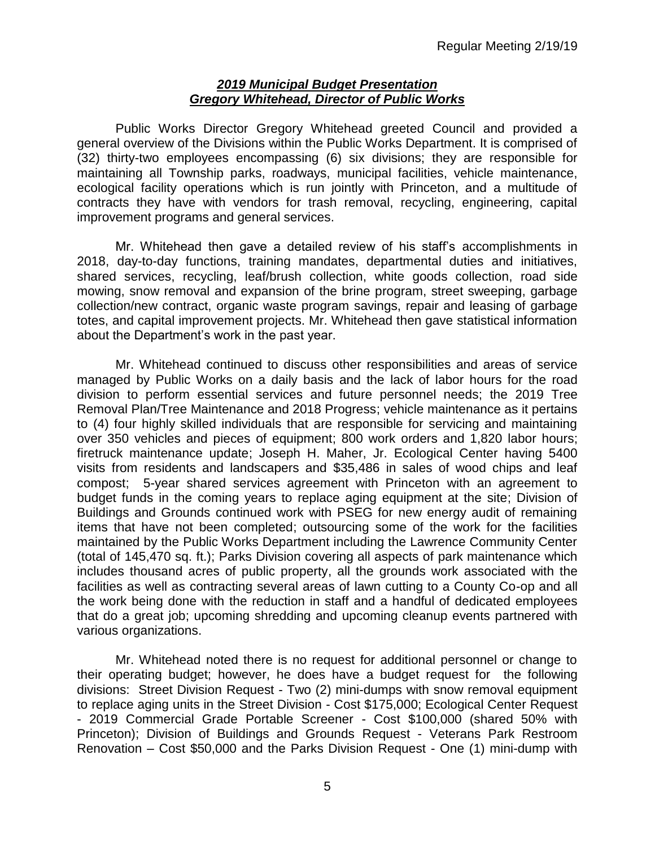#### *2019 Municipal Budget Presentation Gregory Whitehead, Director of Public Works*

Public Works Director Gregory Whitehead greeted Council and provided a general overview of the Divisions within the Public Works Department. It is comprised of (32) thirty-two employees encompassing (6) six divisions; they are responsible for maintaining all Township parks, roadways, municipal facilities, vehicle maintenance, ecological facility operations which is run jointly with Princeton, and a multitude of contracts they have with vendors for trash removal, recycling, engineering, capital improvement programs and general services.

Mr. Whitehead then gave a detailed review of his staff's accomplishments in 2018, day-to-day functions, training mandates, departmental duties and initiatives, shared services, recycling, leaf/brush collection, white goods collection, road side mowing, snow removal and expansion of the brine program, street sweeping, garbage collection/new contract, organic waste program savings, repair and leasing of garbage totes, and capital improvement projects. Mr. Whitehead then gave statistical information about the Department's work in the past year.

Mr. Whitehead continued to discuss other responsibilities and areas of service managed by Public Works on a daily basis and the lack of labor hours for the road division to perform essential services and future personnel needs; the 2019 Tree Removal Plan/Tree Maintenance and 2018 Progress; vehicle maintenance as it pertains to (4) four highly skilled individuals that are responsible for servicing and maintaining over 350 vehicles and pieces of equipment; 800 work orders and 1,820 labor hours; firetruck maintenance update; Joseph H. Maher, Jr. Ecological Center having 5400 visits from residents and landscapers and \$35,486 in sales of wood chips and leaf compost; 5-year shared services agreement with Princeton with an agreement to budget funds in the coming years to replace aging equipment at the site; Division of Buildings and Grounds continued work with PSEG for new energy audit of remaining items that have not been completed; outsourcing some of the work for the facilities maintained by the Public Works Department including the Lawrence Community Center (total of 145,470 sq. ft.); Parks Division covering all aspects of park maintenance which includes thousand acres of public property, all the grounds work associated with the facilities as well as contracting several areas of lawn cutting to a County Co-op and all the work being done with the reduction in staff and a handful of dedicated employees that do a great job; upcoming shredding and upcoming cleanup events partnered with various organizations.

Mr. Whitehead noted there is no request for additional personnel or change to their operating budget; however, he does have a budget request for the following divisions: Street Division Request - Two (2) mini-dumps with snow removal equipment to replace aging units in the Street Division - Cost \$175,000; Ecological Center Request - 2019 Commercial Grade Portable Screener - Cost \$100,000 (shared 50% with Princeton); Division of Buildings and Grounds Request - Veterans Park Restroom Renovation – Cost \$50,000 and the Parks Division Request - One (1) mini-dump with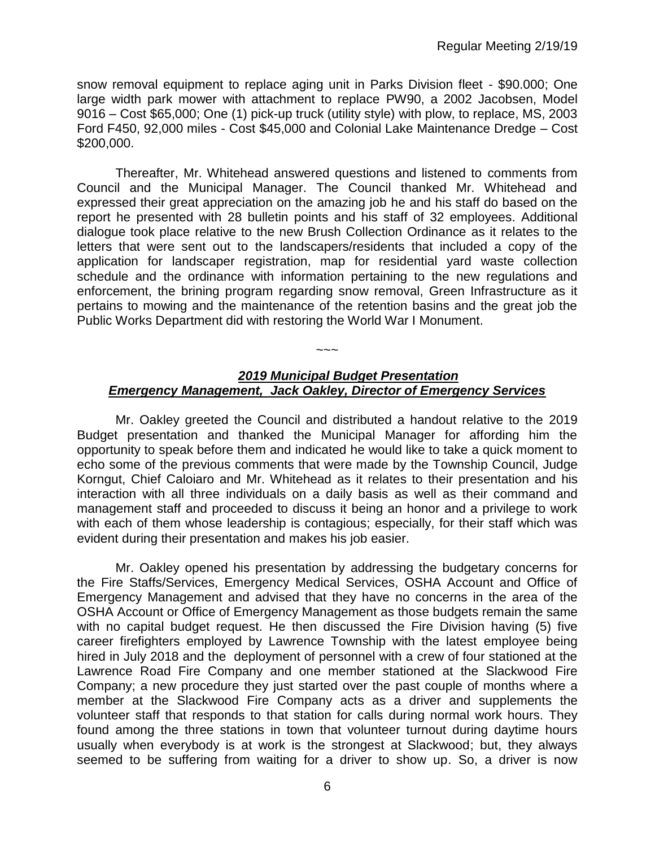snow removal equipment to replace aging unit in Parks Division fleet - \$90.000; One large width park mower with attachment to replace PW90, a 2002 Jacobsen, Model 9016 – Cost \$65,000; One (1) pick-up truck (utility style) with plow, to replace, MS, 2003 Ford F450, 92,000 miles - Cost \$45,000 and Colonial Lake Maintenance Dredge – Cost \$200,000.

Thereafter, Mr. Whitehead answered questions and listened to comments from Council and the Municipal Manager. The Council thanked Mr. Whitehead and expressed their great appreciation on the amazing job he and his staff do based on the report he presented with 28 bulletin points and his staff of 32 employees. Additional dialogue took place relative to the new Brush Collection Ordinance as it relates to the letters that were sent out to the landscapers/residents that included a copy of the application for landscaper registration, map for residential yard waste collection schedule and the ordinance with information pertaining to the new regulations and enforcement, the brining program regarding snow removal, Green Infrastructure as it pertains to mowing and the maintenance of the retention basins and the great job the Public Works Department did with restoring the World War I Monument.

# *2019 Municipal Budget Presentation Emergency Management, Jack Oakley, Director of Emergency Services*

 $\sim\sim\sim$ 

Mr. Oakley greeted the Council and distributed a handout relative to the 2019 Budget presentation and thanked the Municipal Manager for affording him the opportunity to speak before them and indicated he would like to take a quick moment to echo some of the previous comments that were made by the Township Council, Judge Korngut, Chief Caloiaro and Mr. Whitehead as it relates to their presentation and his interaction with all three individuals on a daily basis as well as their command and management staff and proceeded to discuss it being an honor and a privilege to work with each of them whose leadership is contagious; especially, for their staff which was evident during their presentation and makes his job easier.

Mr. Oakley opened his presentation by addressing the budgetary concerns for the Fire Staffs/Services, Emergency Medical Services, OSHA Account and Office of Emergency Management and advised that they have no concerns in the area of the OSHA Account or Office of Emergency Management as those budgets remain the same with no capital budget request. He then discussed the Fire Division having (5) five career firefighters employed by Lawrence Township with the latest employee being hired in July 2018 and the deployment of personnel with a crew of four stationed at the Lawrence Road Fire Company and one member stationed at the Slackwood Fire Company; a new procedure they just started over the past couple of months where a member at the Slackwood Fire Company acts as a driver and supplements the volunteer staff that responds to that station for calls during normal work hours. They found among the three stations in town that volunteer turnout during daytime hours usually when everybody is at work is the strongest at Slackwood; but, they always seemed to be suffering from waiting for a driver to show up. So, a driver is now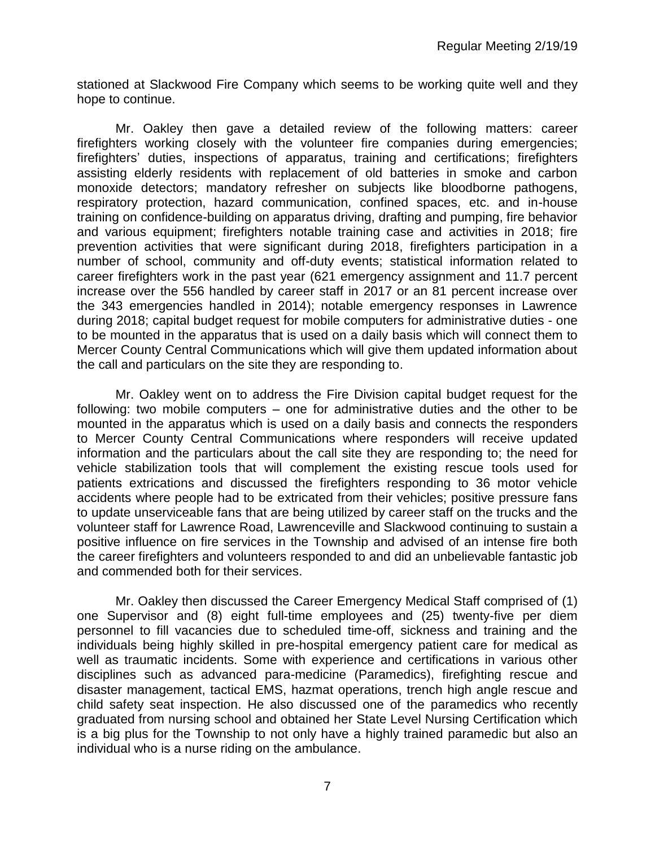stationed at Slackwood Fire Company which seems to be working quite well and they hope to continue.

Mr. Oakley then gave a detailed review of the following matters: career firefighters working closely with the volunteer fire companies during emergencies; firefighters' duties, inspections of apparatus, training and certifications; firefighters assisting elderly residents with replacement of old batteries in smoke and carbon monoxide detectors; mandatory refresher on subjects like bloodborne pathogens, respiratory protection, hazard communication, confined spaces, etc. and in-house training on confidence-building on apparatus driving, drafting and pumping, fire behavior and various equipment; firefighters notable training case and activities in 2018; fire prevention activities that were significant during 2018, firefighters participation in a number of school, community and off-duty events; statistical information related to career firefighters work in the past year (621 emergency assignment and 11.7 percent increase over the 556 handled by career staff in 2017 or an 81 percent increase over the 343 emergencies handled in 2014); notable emergency responses in Lawrence during 2018; capital budget request for mobile computers for administrative duties - one to be mounted in the apparatus that is used on a daily basis which will connect them to Mercer County Central Communications which will give them updated information about the call and particulars on the site they are responding to.

Mr. Oakley went on to address the Fire Division capital budget request for the following: two mobile computers – one for administrative duties and the other to be mounted in the apparatus which is used on a daily basis and connects the responders to Mercer County Central Communications where responders will receive updated information and the particulars about the call site they are responding to; the need for vehicle stabilization tools that will complement the existing rescue tools used for patients extrications and discussed the firefighters responding to 36 motor vehicle accidents where people had to be extricated from their vehicles; positive pressure fans to update unserviceable fans that are being utilized by career staff on the trucks and the volunteer staff for Lawrence Road, Lawrenceville and Slackwood continuing to sustain a positive influence on fire services in the Township and advised of an intense fire both the career firefighters and volunteers responded to and did an unbelievable fantastic job and commended both for their services.

Mr. Oakley then discussed the Career Emergency Medical Staff comprised of (1) one Supervisor and (8) eight full-time employees and (25) twenty-five per diem personnel to fill vacancies due to scheduled time-off, sickness and training and the individuals being highly skilled in pre-hospital emergency patient care for medical as well as traumatic incidents. Some with experience and certifications in various other disciplines such as advanced para-medicine (Paramedics), firefighting rescue and disaster management, tactical EMS, hazmat operations, trench high angle rescue and child safety seat inspection. He also discussed one of the paramedics who recently graduated from nursing school and obtained her State Level Nursing Certification which is a big plus for the Township to not only have a highly trained paramedic but also an individual who is a nurse riding on the ambulance.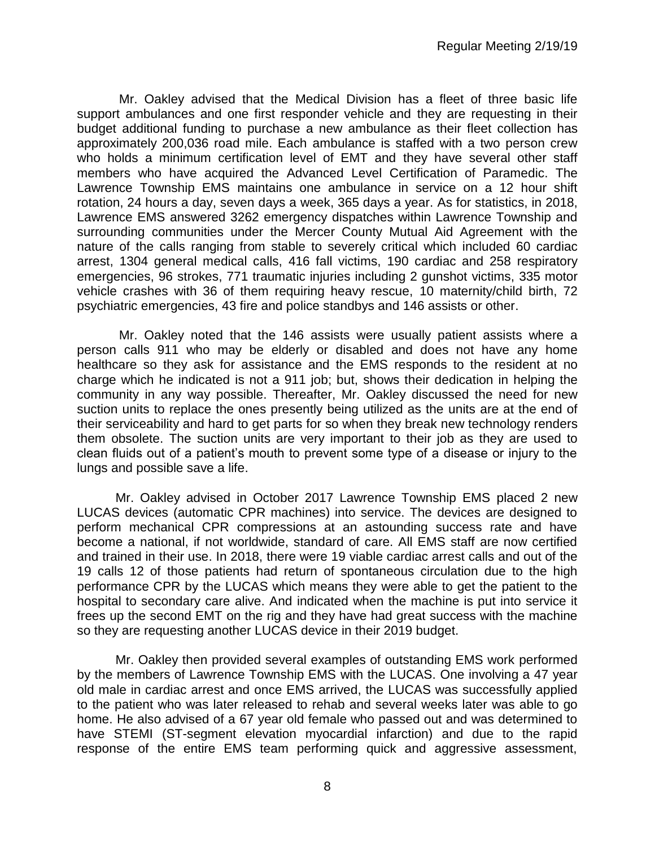Mr. Oakley advised that the Medical Division has a fleet of three basic life support ambulances and one first responder vehicle and they are requesting in their budget additional funding to purchase a new ambulance as their fleet collection has approximately 200,036 road mile. Each ambulance is staffed with a two person crew who holds a minimum certification level of EMT and they have several other staff members who have acquired the Advanced Level Certification of Paramedic. The Lawrence Township EMS maintains one ambulance in service on a 12 hour shift rotation, 24 hours a day, seven days a week, 365 days a year. As for statistics, in 2018, Lawrence EMS answered 3262 emergency dispatches within Lawrence Township and surrounding communities under the Mercer County Mutual Aid Agreement with the nature of the calls ranging from stable to severely critical which included 60 cardiac arrest, 1304 general medical calls, 416 fall victims, 190 cardiac and 258 respiratory emergencies, 96 strokes, 771 traumatic injuries including 2 gunshot victims, 335 motor vehicle crashes with 36 of them requiring heavy rescue, 10 maternity/child birth, 72 psychiatric emergencies, 43 fire and police standbys and 146 assists or other.

Mr. Oakley noted that the 146 assists were usually patient assists where a person calls 911 who may be elderly or disabled and does not have any home healthcare so they ask for assistance and the EMS responds to the resident at no charge which he indicated is not a 911 job; but, shows their dedication in helping the community in any way possible. Thereafter, Mr. Oakley discussed the need for new suction units to replace the ones presently being utilized as the units are at the end of their serviceability and hard to get parts for so when they break new technology renders them obsolete. The suction units are very important to their job as they are used to clean fluids out of a patient's mouth to prevent some type of a disease or injury to the lungs and possible save a life.

Mr. Oakley advised in October 2017 Lawrence Township EMS placed 2 new LUCAS devices (automatic CPR machines) into service. The devices are designed to perform mechanical CPR compressions at an astounding success rate and have become a national, if not worldwide, standard of care. All EMS staff are now certified and trained in their use. In 2018, there were 19 viable cardiac arrest calls and out of the 19 calls 12 of those patients had return of spontaneous circulation due to the high performance CPR by the LUCAS which means they were able to get the patient to the hospital to secondary care alive. And indicated when the machine is put into service it frees up the second EMT on the rig and they have had great success with the machine so they are requesting another LUCAS device in their 2019 budget.

Mr. Oakley then provided several examples of outstanding EMS work performed by the members of Lawrence Township EMS with the LUCAS. One involving a 47 year old male in cardiac arrest and once EMS arrived, the LUCAS was successfully applied to the patient who was later released to rehab and several weeks later was able to go home. He also advised of a 67 year old female who passed out and was determined to have STEMI (ST-segment elevation myocardial infarction) and due to the rapid response of the entire EMS team performing quick and aggressive assessment,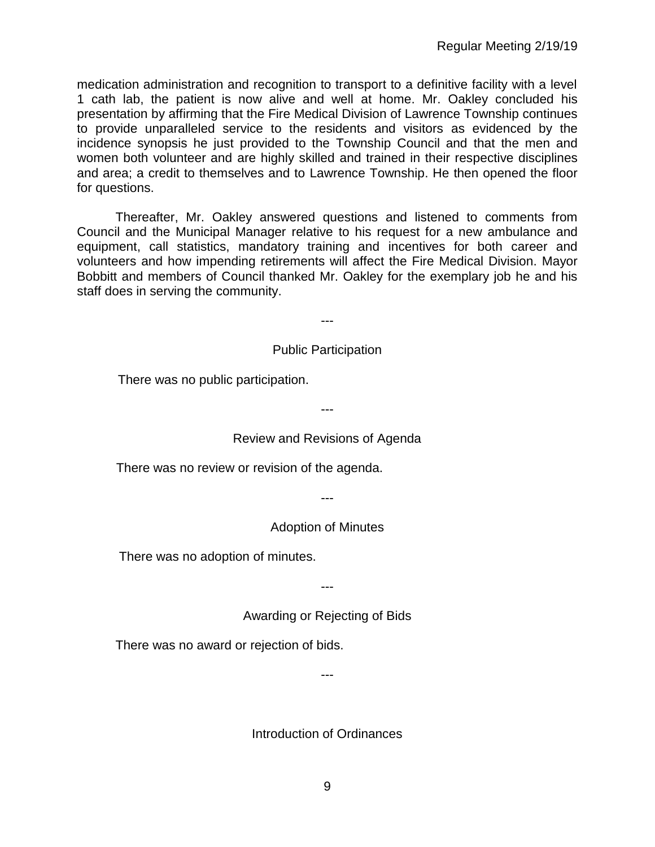medication administration and recognition to transport to a definitive facility with a level 1 cath lab, the patient is now alive and well at home. Mr. Oakley concluded his presentation by affirming that the Fire Medical Division of Lawrence Township continues to provide unparalleled service to the residents and visitors as evidenced by the incidence synopsis he just provided to the Township Council and that the men and women both volunteer and are highly skilled and trained in their respective disciplines and area; a credit to themselves and to Lawrence Township. He then opened the floor for questions.

Thereafter, Mr. Oakley answered questions and listened to comments from Council and the Municipal Manager relative to his request for a new ambulance and equipment, call statistics, mandatory training and incentives for both career and volunteers and how impending retirements will affect the Fire Medical Division. Mayor Bobbitt and members of Council thanked Mr. Oakley for the exemplary job he and his staff does in serving the community.

---

## Public Participation

There was no public participation.

--- Review and Revisions of Agenda

There was no review or revision of the agenda.

---

# Adoption of Minutes

There was no adoption of minutes.

---

Awarding or Rejecting of Bids

There was no award or rejection of bids.

---

Introduction of Ordinances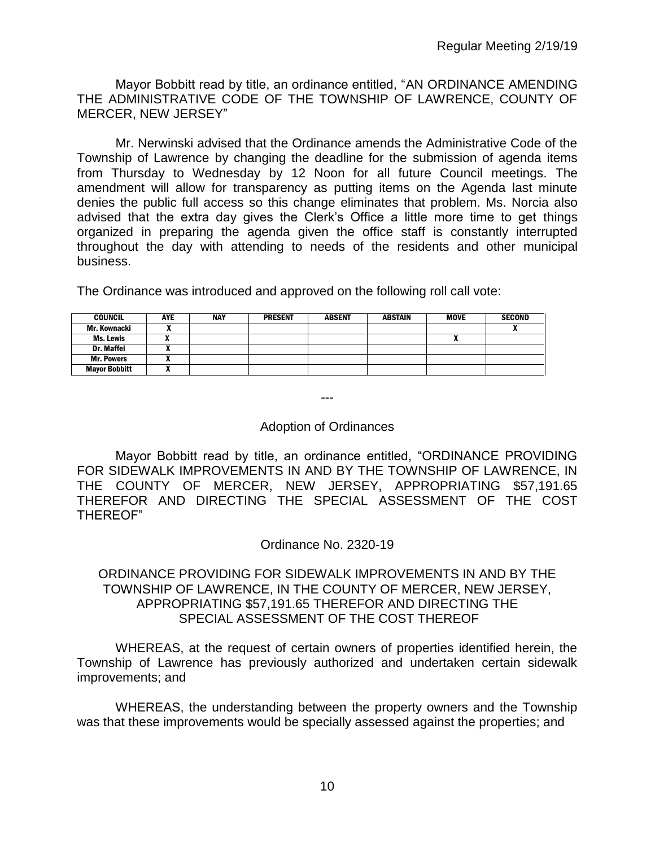Mayor Bobbitt read by title, an ordinance entitled, "AN ORDINANCE AMENDING THE ADMINISTRATIVE CODE OF THE TOWNSHIP OF LAWRENCE, COUNTY OF MERCER, NEW JERSEY"

Mr. Nerwinski advised that the Ordinance amends the Administrative Code of the Township of Lawrence by changing the deadline for the submission of agenda items from Thursday to Wednesday by 12 Noon for all future Council meetings. The amendment will allow for transparency as putting items on the Agenda last minute denies the public full access so this change eliminates that problem. Ms. Norcia also advised that the extra day gives the Clerk's Office a little more time to get things organized in preparing the agenda given the office staff is constantly interrupted throughout the day with attending to needs of the residents and other municipal business.

The Ordinance was introduced and approved on the following roll call vote:

| <b>COUNCIL</b>       | AYE | <b>NAY</b> | <b>PRESENT</b> | <b>ABSENT</b> | <b>ABSTAIN</b> | <b>MOVE</b> | <b>SECOND</b> |
|----------------------|-----|------------|----------------|---------------|----------------|-------------|---------------|
| Mr. Kownacki         |     |            |                |               |                |             |               |
| Ms. Lewis            |     |            |                |               |                |             |               |
| Dr. Maffei           |     |            |                |               |                |             |               |
| <b>Mr. Powers</b>    |     |            |                |               |                |             |               |
| <b>Mayor Bobbitt</b> |     |            |                |               |                |             |               |

# ---

#### Adoption of Ordinances

Mayor Bobbitt read by title, an ordinance entitled, "ORDINANCE PROVIDING FOR SIDEWALK IMPROVEMENTS IN AND BY THE TOWNSHIP OF LAWRENCE, IN THE COUNTY OF MERCER, NEW JERSEY, APPROPRIATING \$57,191.65 THEREFOR AND DIRECTING THE SPECIAL ASSESSMENT OF THE COST THEREOF"

#### Ordinance No. 2320-19

## ORDINANCE PROVIDING FOR SIDEWALK IMPROVEMENTS IN AND BY THE TOWNSHIP OF LAWRENCE, IN THE COUNTY OF MERCER, NEW JERSEY, APPROPRIATING \$57,191.65 THEREFOR AND DIRECTING THE SPECIAL ASSESSMENT OF THE COST THEREOF

WHEREAS, at the request of certain owners of properties identified herein, the Township of Lawrence has previously authorized and undertaken certain sidewalk improvements; and

WHEREAS, the understanding between the property owners and the Township was that these improvements would be specially assessed against the properties; and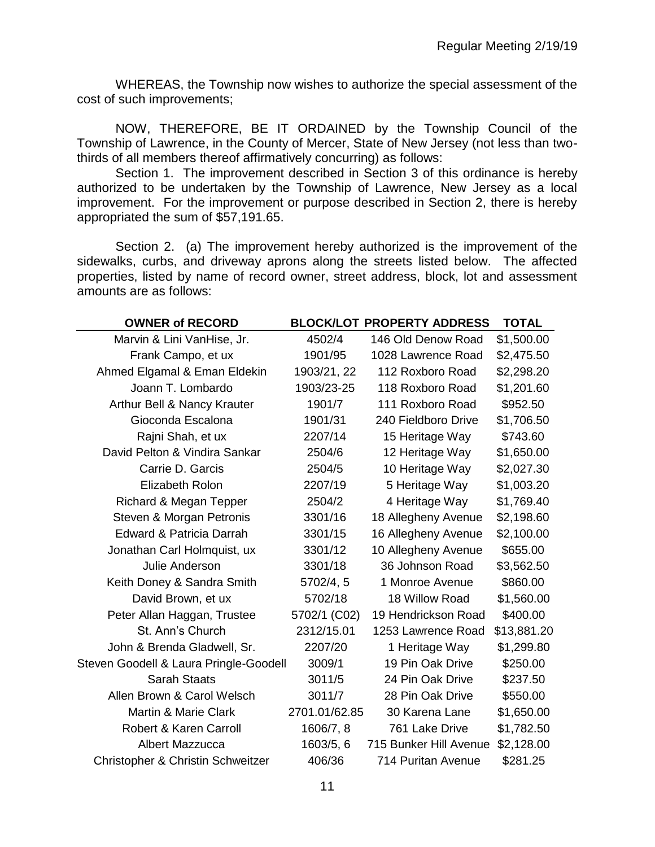WHEREAS, the Township now wishes to authorize the special assessment of the cost of such improvements;

NOW, THEREFORE, BE IT ORDAINED by the Township Council of the Township of Lawrence, in the County of Mercer, State of New Jersey (not less than twothirds of all members thereof affirmatively concurring) as follows:

Section 1. The improvement described in Section 3 of this ordinance is hereby authorized to be undertaken by the Township of Lawrence, New Jersey as a local improvement. For the improvement or purpose described in Section 2, there is hereby appropriated the sum of \$57,191.65.

Section 2. (a) The improvement hereby authorized is the improvement of the sidewalks, curbs, and driveway aprons along the streets listed below. The affected properties, listed by name of record owner, street address, block, lot and assessment amounts are as follows:

| <b>OWNER of RECORD</b>                 |               | <b>BLOCK/LOT PROPERTY ADDRESS</b> | <b>TOTAL</b> |
|----------------------------------------|---------------|-----------------------------------|--------------|
| Marvin & Lini VanHise, Jr.             | 4502/4        | 146 Old Denow Road                | \$1,500.00   |
| Frank Campo, et ux                     | 1901/95       | 1028 Lawrence Road                | \$2,475.50   |
| Ahmed Elgamal & Eman Eldekin           | 1903/21, 22   | 112 Roxboro Road                  | \$2,298.20   |
| Joann T. Lombardo                      | 1903/23-25    | 118 Roxboro Road                  | \$1,201.60   |
| Arthur Bell & Nancy Krauter            | 1901/7        | 111 Roxboro Road                  | \$952.50     |
| Gioconda Escalona                      | 1901/31       | 240 Fieldboro Drive               | \$1,706.50   |
| Rajni Shah, et ux                      | 2207/14       | 15 Heritage Way                   | \$743.60     |
| David Pelton & Vindira Sankar          | 2504/6        | 12 Heritage Way                   | \$1,650.00   |
| Carrie D. Garcis                       | 2504/5        | 10 Heritage Way                   | \$2,027.30   |
| Elizabeth Rolon                        | 2207/19       | 5 Heritage Way                    | \$1,003.20   |
| Richard & Megan Tepper                 | 2504/2        | 4 Heritage Way                    | \$1,769.40   |
| Steven & Morgan Petronis               | 3301/16       | 18 Allegheny Avenue               | \$2,198.60   |
| Edward & Patricia Darrah               | 3301/15       | 16 Allegheny Avenue               | \$2,100.00   |
| Jonathan Carl Holmquist, ux            | 3301/12       | 10 Allegheny Avenue               | \$655.00     |
| Julie Anderson                         | 3301/18       | 36 Johnson Road                   | \$3,562.50   |
| Keith Doney & Sandra Smith             | 5702/4, 5     | 1 Monroe Avenue                   | \$860.00     |
| David Brown, et ux                     | 5702/18       | 18 Willow Road                    | \$1,560.00   |
| Peter Allan Haggan, Trustee            | 5702/1 (C02)  | 19 Hendrickson Road               | \$400.00     |
| St. Ann's Church                       | 2312/15.01    | 1253 Lawrence Road                | \$13,881.20  |
| John & Brenda Gladwell, Sr.            | 2207/20       | 1 Heritage Way                    | \$1,299.80   |
| Steven Goodell & Laura Pringle-Goodell | 3009/1        | 19 Pin Oak Drive                  | \$250.00     |
| <b>Sarah Staats</b>                    | 3011/5        | 24 Pin Oak Drive                  | \$237.50     |
| Allen Brown & Carol Welsch             | 3011/7        | 28 Pin Oak Drive                  | \$550.00     |
| Martin & Marie Clark                   | 2701.01/62.85 | 30 Karena Lane                    | \$1,650.00   |
| Robert & Karen Carroll                 | 1606/7, 8     | 761 Lake Drive                    | \$1,782.50   |
| <b>Albert Mazzucca</b>                 | 1603/5, 6     | 715 Bunker Hill Avenue            | \$2,128.00   |
| Christopher & Christin Schweitzer      | 406/36        | 714 Puritan Avenue                | \$281.25     |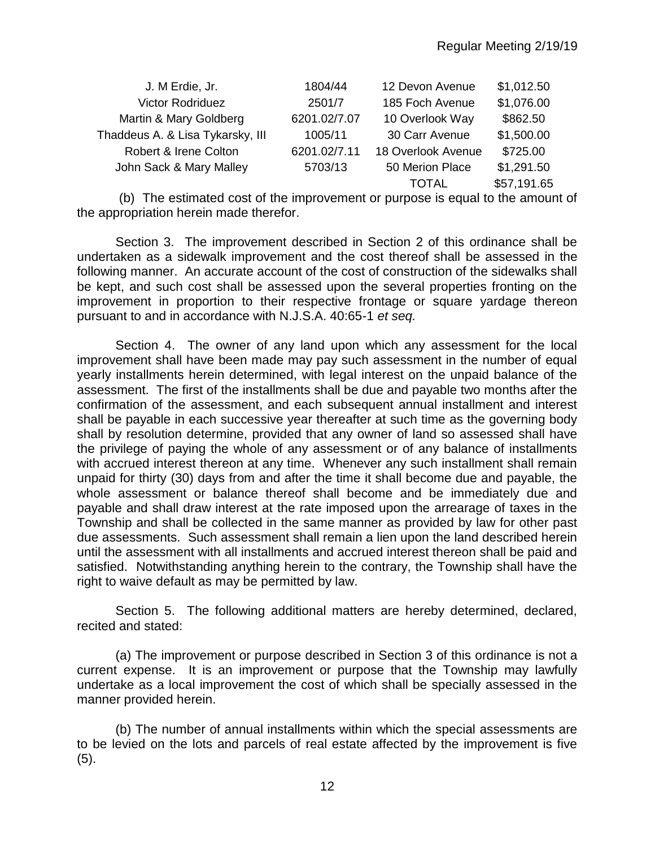| J. M Erdie, Jr.                  | 1804/44      | 12 Devon Avenue    | \$1,012.50  |
|----------------------------------|--------------|--------------------|-------------|
| <b>Victor Rodriduez</b>          | 2501/7       | 185 Foch Avenue    | \$1,076.00  |
| Martin & Mary Goldberg           | 6201.02/7.07 | 10 Overlook Way    | \$862.50    |
| Thaddeus A. & Lisa Tykarsky, III | 1005/11      | 30 Carr Avenue     | \$1,500.00  |
| Robert & Irene Colton            | 6201.02/7.11 | 18 Overlook Avenue | \$725.00    |
| John Sack & Mary Malley          | 5703/13      | 50 Merion Place    | \$1,291.50  |
|                                  |              | TOTAL              | \$57,191.65 |

(b) The estimated cost of the improvement or purpose is equal to the amount of the appropriation herein made therefor.

Section 3. The improvement described in Section 2 of this ordinance shall be undertaken as a sidewalk improvement and the cost thereof shall be assessed in the following manner. An accurate account of the cost of construction of the sidewalks shall be kept, and such cost shall be assessed upon the several properties fronting on the improvement in proportion to their respective frontage or square yardage thereon pursuant to and in accordance with N.J.S.A. 40:65-1 *et seq.*

Section 4. The owner of any land upon which any assessment for the local improvement shall have been made may pay such assessment in the number of equal yearly installments herein determined, with legal interest on the unpaid balance of the assessment. The first of the installments shall be due and payable two months after the confirmation of the assessment, and each subsequent annual installment and interest shall be payable in each successive year thereafter at such time as the governing body shall by resolution determine, provided that any owner of land so assessed shall have the privilege of paying the whole of any assessment or of any balance of installments with accrued interest thereon at any time. Whenever any such installment shall remain unpaid for thirty (30) days from and after the time it shall become due and payable, the whole assessment or balance thereof shall become and be immediately due and payable and shall draw interest at the rate imposed upon the arrearage of taxes in the Township and shall be collected in the same manner as provided by law for other past due assessments. Such assessment shall remain a lien upon the land described herein until the assessment with all installments and accrued interest thereon shall be paid and satisfied. Notwithstanding anything herein to the contrary, the Township shall have the right to waive default as may be permitted by law.

Section 5. The following additional matters are hereby determined, declared, recited and stated:

(a) The improvement or purpose described in Section 3 of this ordinance is not a current expense. It is an improvement or purpose that the Township may lawfully undertake as a local improvement the cost of which shall be specially assessed in the manner provided herein.

(b) The number of annual installments within which the special assessments are to be levied on the lots and parcels of real estate affected by the improvement is five (5).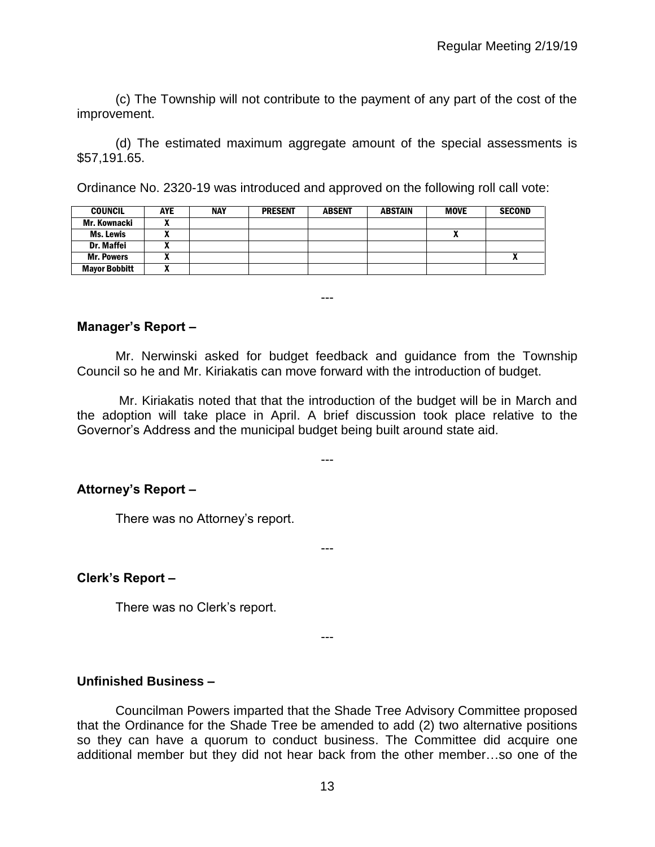(c) The Township will not contribute to the payment of any part of the cost of the improvement.

(d) The estimated maximum aggregate amount of the special assessments is \$57,191.65.

Ordinance No. 2320-19 was introduced and approved on the following roll call vote:

| <b>COUNCIL</b>       | <b>AYE</b> | <b>NAY</b> | <b>PRESENT</b> | <b>ABSENT</b> | <b>ABSTAIN</b> | <b>MOVE</b> | <b>SECOND</b> |
|----------------------|------------|------------|----------------|---------------|----------------|-------------|---------------|
| Mr. Kownacki         |            |            |                |               |                |             |               |
| <b>Ms. Lewis</b>     |            |            |                |               |                |             |               |
| Dr. Maffei           |            |            |                |               |                |             |               |
| <b>Mr. Powers</b>    |            |            |                |               |                |             |               |
| <b>Mayor Bobbitt</b> |            |            |                |               |                |             |               |

**Manager's Report –**

Mr. Nerwinski asked for budget feedback and guidance from the Township Council so he and Mr. Kiriakatis can move forward with the introduction of budget.

---

Mr. Kiriakatis noted that that the introduction of the budget will be in March and the adoption will take place in April. A brief discussion took place relative to the Governor's Address and the municipal budget being built around state aid.

---

---

---

**Attorney's Report –**

There was no Attorney's report.

**Clerk's Report –** 

There was no Clerk's report.

**Unfinished Business –**

Councilman Powers imparted that the Shade Tree Advisory Committee proposed that the Ordinance for the Shade Tree be amended to add (2) two alternative positions so they can have a quorum to conduct business. The Committee did acquire one additional member but they did not hear back from the other member…so one of the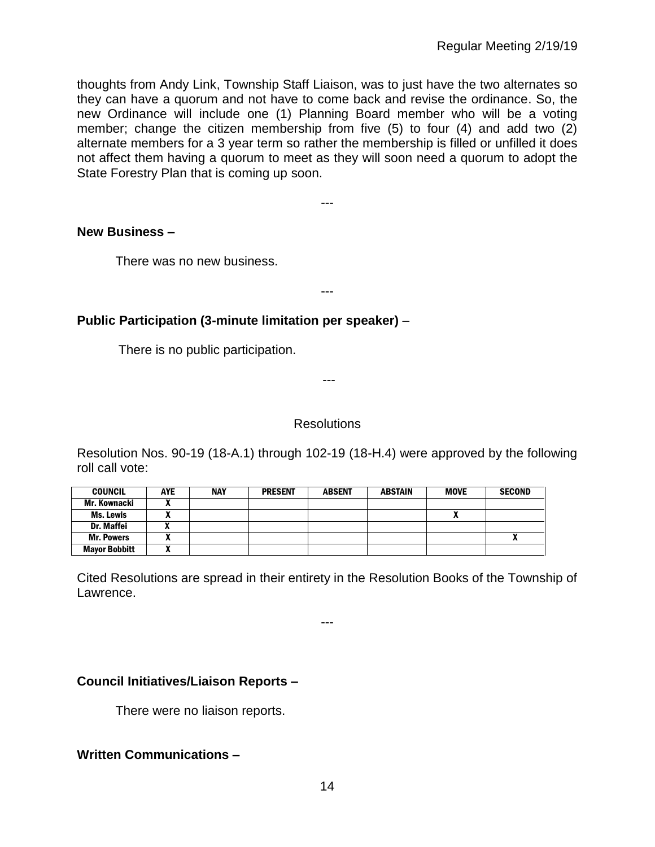thoughts from Andy Link, Township Staff Liaison, was to just have the two alternates so they can have a quorum and not have to come back and revise the ordinance. So, the new Ordinance will include one (1) Planning Board member who will be a voting member; change the citizen membership from five (5) to four (4) and add two (2) alternate members for a 3 year term so rather the membership is filled or unfilled it does not affect them having a quorum to meet as they will soon need a quorum to adopt the State Forestry Plan that is coming up soon.

---

---

## **New Business –**

There was no new business.

# **Public Participation (3-minute limitation per speaker)** –

There is no public participation.

---

# **Resolutions**

Resolution Nos. 90-19 (18-A.1) through 102-19 (18-H.4) were approved by the following roll call vote:

| <b>COUNCIL</b>       | <b>AYE</b> | <b>NAY</b> | <b>PRESENT</b> | <b>ABSENT</b> | <b>ABSTAIN</b> | <b>MOVE</b> | <b>SECOND</b> |
|----------------------|------------|------------|----------------|---------------|----------------|-------------|---------------|
| Mr. Kownacki         |            |            |                |               |                |             |               |
| Ms. Lewis            |            |            |                |               |                | Λ           |               |
| Dr. Maffei           |            |            |                |               |                |             |               |
| <b>Mr. Powers</b>    |            |            |                |               |                |             |               |
| <b>Mayor Bobbitt</b> |            |            |                |               |                |             |               |

Cited Resolutions are spread in their entirety in the Resolution Books of the Township of Lawrence.

---

# **Council Initiatives/Liaison Reports –**

There were no liaison reports.

# **Written Communications –**